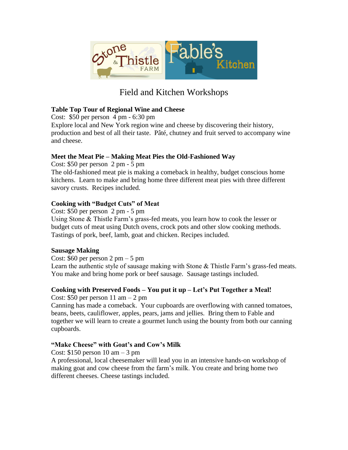

# Field and Kitchen Workshops

## **Table Top Tour of Regional Wine and Cheese**

Cost: \$50 per person 4 pm - 6:30 pm

Explore local and New York region wine and cheese by discovering their history, production and best of all their taste. Pâté, chutney and fruit served to accompany wine and cheese.

## **Meet the Meat Pie – Making Meat Pies the Old-Fashioned Way**

Cost: \$50 per person 2 pm - 5 pm The old-fashioned meat pie is making a comeback in healthy, budget conscious home kitchens. Learn to make and bring home three different meat pies with three different

savory crusts. Recipes included.

## **Cooking with "Budget Cuts" of Meat**

Cost: \$50 per person 2 pm - 5 pm Using Stone & Thistle Farm's grass-fed meats, you learn how to cook the lesser or budget cuts of meat using Dutch ovens, crock pots and other slow cooking methods. Tastings of pork, beef, lamb, goat and chicken. Recipes included.

## **Sausage Making**

Cost:  $$60$  per person 2 pm  $-5$  pm

Learn the authentic style of sausage making with Stone & Thistle Farm's grass-fed meats. You make and bring home pork or beef sausage. Sausage tastings included.

## **Cooking with Preserved Foods – You put it up – Let's Put Together a Meal!**

Cost:  $$50$  per person 11 am  $-2$  pm

Canning has made a comeback. Your cupboards are overflowing with canned tomatoes, beans, beets, cauliflower, apples, pears, jams and jellies. Bring them to Fable and together we will learn to create a gourmet lunch using the bounty from both our canning cupboards.

## **"Make Cheese" with Goat's and Cow's Milk**

Cost:  $$150$  person 10 am  $-3$  pm

A professional, local cheesemaker will lead you in an intensive hands-on workshop of making goat and cow cheese from the farm's milk. You create and bring home two different cheeses. Cheese tastings included.